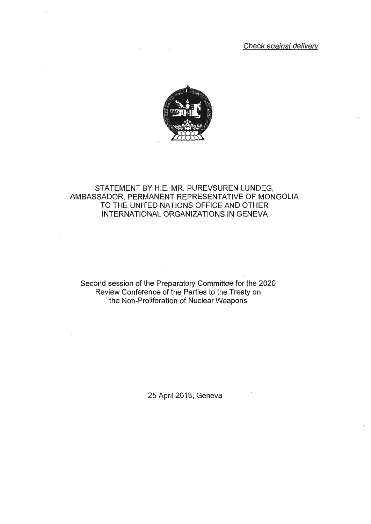Check against delivery



## STATEMENT BY H.E. MR. PUREVSUREN LUNDEG, AMBASSADOR, PERMANENT REPRESENTATIVE OF MONGOLIA TO THE UNITED NATIONS OFFICE AND OTHER INTERNATIONAL ORGANIZATIONS IN GENEVA

Second session of the Preparatory Committee for the 2020 Review Conference of the Parties to the Treaty on the Non-Proliferation of Nuclear Weapons

25 April 2018, Geneva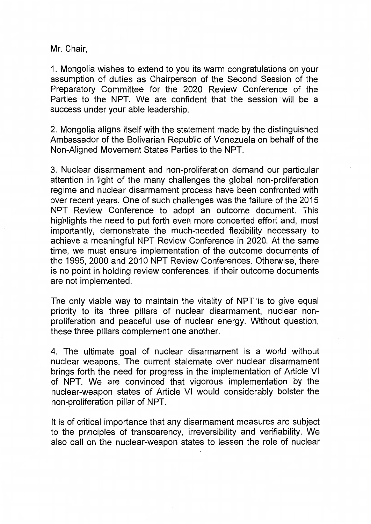Mr. Chair,

1. Mongolia wishes to extend to you its warm congratulations on your assumption of duties as Chairperson of the Second Session of the Preparatory Committee for the 2020 Review Conference of the Parties to the NPT. We are confident that the session will be a success under your able leadership.

2. Mongolia aligns itself with the statement made by the distinguished Ambassador of the Bolivarian Republic of Venezuela on behalf of the Non-Aligned Movement States Parties to the NPT.

3. Nuclear disarmament and non-proliferation demand our particular attention in light of the many challenges the global non-proliferation regime and nuclear disarmament process have been confronted with over recent years. One of such challenges was the failure of the 2015 NPT Review Conference to adopt an outcome document. This highlights the need to put forth even more concerted effort and, most importantly, demonstrate the much-needed flexibility necessary to achieve a meaningful NPT Review Conference in 2020. At the same time, we must ensure implementation of the outcome documents of the 1995, 2000 and 2010 NPT Review Conferences. Otherwise, there is no point in holding review conferences, if their outcome documents are not implemented.

The only viable way to maintain the vitality of NPT 'is to give equal priority to its three pillars of nuclear disarmament, nuclear nonproliferation and peaceful use of nuclear energy. Without question, these three pillars complement one another.

4. The ultimate goal of nuclear disarmament is a world without nuclear weapons. The current stalemate over nuclear disarmament brings forth the need for progress in the implementation of Article VI of NPT. We are convinced that vigorous implementation by the nuclear-weapon states of Article VI would considerably bolster the non-proliferation pillar of NPT.

It is of critical importance that any disarmament measures are subject to the principles of transparency, irreversibility and verifiability. We also call on the nuclear-weapon states to lessen the role of nuclear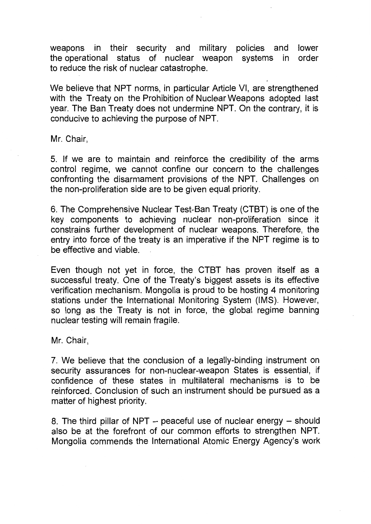weapons in their security and military policies and lower the operational status of nuclear weapon systems in order to reduce the risk of nuclear catastrophe.

We believe that NPT norms, in particular Article VI, are strengthened with the Treaty on the Prohibition of Nuclear Weapons adopted last year. The Ban Treaty does not undermine NPT. On the contrary, it is conducive to achieving the purpose of NPT.

Mr. Chair,

5. If we are to maintain and reinforce the credibility of the arms control regime, we cannot confine our concern to the challenges confronting the disarmament provisions of the NPT. Challenges on the non-proliferation side are to be given equal priority.

6. The Comprehensive Nuclear Test-Ban Treaty (CTBT) is one of the key components to achieving nuclear non-proliferation since it constrains further development of nuclear weapons. Therefore, the entry into force of the treaty is an imperative if the NPT regime is to be effective and viable.

Even though not yet in force, the CTBT has proven itself as a successful treaty. One of the Treaty's biggest assets is its effective verification mechanism. Mongolia is proud to be hosting 4 monitoring stations under the International Monitoring System (IMS). However, so long as the Treaty is not in force, the global regime banning nuclear testing will remain fragile.

Mr. Chair,

7. We believe that the conclusion of a legally-binding instrument on security assurances for non-nuclear-weapon States is essential, if confidence of these states in multilateral mechanisms is to be reinforced. Conclusion of such an instrument should be pursued as a matter of highest priority.

8. The third pillar of NPT  $-$  peaceful use of nuclear energy  $-$  should also be at the forefront of our common efforts to strengthen NPT. Mongolia commends the International Atomic Energy Agency's work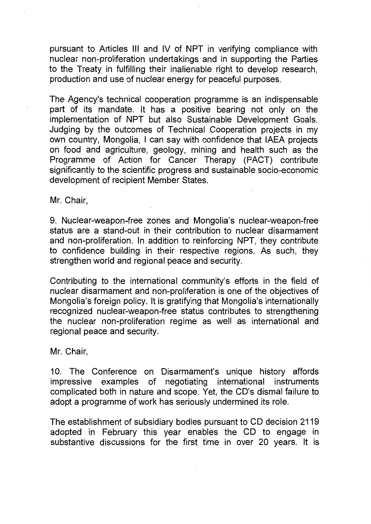pursuant to Articles Ill and IV of NPT in verifying compliance with nuclear non-proliferation undertakings and in supporting the Parties to the Treaty in fulfilling their inalienable right to develop research, production and use of nuclear energy for peaceful purposes.

The Agency's technical cooperation programme is an indispensable part of its mandate. It has a positive bearing not only on the implementation of NPT but also Sustainable Development Goals. Judging by the outcomes of Technical Cooperation projects in my own country, Mongolia, I can say with confidence that IAEA projects on food and agriculture, geology, mining and health such as the Programme of Action for Cancer Therapy (PACT) contribute significantly to the scientific progress and sustainable socio-economic development of recipient Member States.

Mr. Chair,

9. Nuclear-weapon-free zones and Mongolia's nuclear-weapon-free status are a stand-out in their contribution to nuclear disarmament and non-proliferation. In addition to reinforcing NPT, they contribute to confidence building in their respective regions. As such, they strengthen world and regional peace and security.

Contributing to the international community's efforts in the field of nuclear disarmament and non-proliferation is one of the objectives of Mongolia's foreign policy. It is gratifying that Mongolia's internationally recognized nuclear-weapon-free status contributes to strengthening the nuclear non-proliferation regime as well as international and regional peace and security.

Mr. Chair,

10. The Conference on Disarmament's unique history affords impressive examples of negotiating international instruments complicated both in nature and scope. Yet, the CD's dismal failure to adopt a programme of work has seriously undermined its role.

The establishment of subsidiary bodies pursuant to CD decision 2119 adopted in February this year enables the CD to engage in substantive discussions for the first time in over 20 years. It is